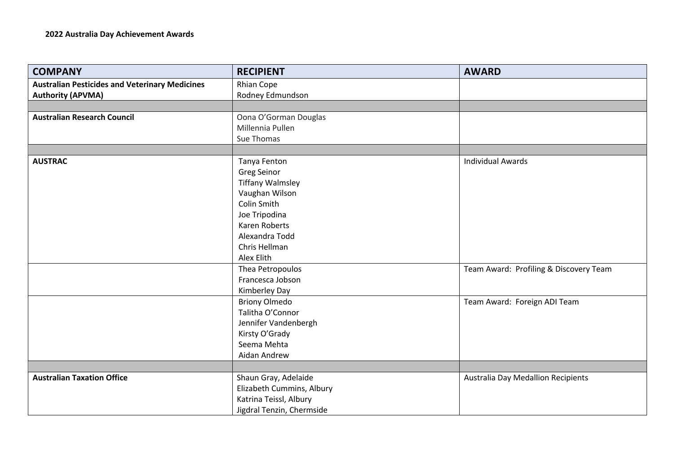| <b>COMPANY</b>                                        | <b>RECIPIENT</b>          | <b>AWARD</b>                           |
|-------------------------------------------------------|---------------------------|----------------------------------------|
| <b>Australian Pesticides and Veterinary Medicines</b> | Rhian Cope                |                                        |
| <b>Authority (APVMA)</b>                              | Rodney Edmundson          |                                        |
|                                                       |                           |                                        |
| <b>Australian Research Council</b>                    | Oona O'Gorman Douglas     |                                        |
|                                                       | Millennia Pullen          |                                        |
|                                                       | Sue Thomas                |                                        |
|                                                       |                           |                                        |
| <b>AUSTRAC</b>                                        | Tanya Fenton              | <b>Individual Awards</b>               |
|                                                       | <b>Greg Seinor</b>        |                                        |
|                                                       | <b>Tiffany Walmsley</b>   |                                        |
|                                                       | Vaughan Wilson            |                                        |
|                                                       | <b>Colin Smith</b>        |                                        |
|                                                       | Joe Tripodina             |                                        |
|                                                       | Karen Roberts             |                                        |
|                                                       | Alexandra Todd            |                                        |
|                                                       | Chris Hellman             |                                        |
|                                                       | Alex Elith                |                                        |
|                                                       | Thea Petropoulos          | Team Award: Profiling & Discovery Team |
|                                                       | Francesca Jobson          |                                        |
|                                                       | Kimberley Day             |                                        |
|                                                       | <b>Briony Olmedo</b>      | Team Award: Foreign ADI Team           |
|                                                       | Talitha O'Connor          |                                        |
|                                                       | Jennifer Vandenbergh      |                                        |
|                                                       | Kirsty O'Grady            |                                        |
|                                                       | Seema Mehta               |                                        |
|                                                       | Aidan Andrew              |                                        |
|                                                       |                           |                                        |
| <b>Australian Taxation Office</b>                     | Shaun Gray, Adelaide      | Australia Day Medallion Recipients     |
|                                                       | Elizabeth Cummins, Albury |                                        |
|                                                       | Katrina Teissl, Albury    |                                        |
|                                                       | Jigdral Tenzin, Chermside |                                        |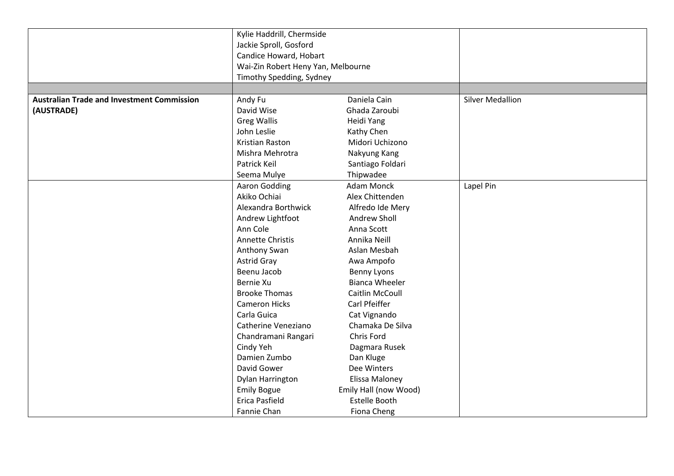|                                                   | Kylie Haddrill, Chermside          |                       |                         |
|---------------------------------------------------|------------------------------------|-----------------------|-------------------------|
|                                                   | Jackie Sproll, Gosford             |                       |                         |
|                                                   | Candice Howard, Hobart             |                       |                         |
|                                                   | Wai-Zin Robert Heny Yan, Melbourne |                       |                         |
|                                                   | Timothy Spedding, Sydney           |                       |                         |
|                                                   |                                    |                       |                         |
| <b>Australian Trade and Investment Commission</b> | Andy Fu                            | Daniela Cain          | <b>Silver Medallion</b> |
| (AUSTRADE)                                        | David Wise                         | Ghada Zaroubi         |                         |
|                                                   | <b>Greg Wallis</b>                 | Heidi Yang            |                         |
|                                                   | John Leslie                        | Kathy Chen            |                         |
|                                                   | Kristian Raston                    | Midori Uchizono       |                         |
|                                                   | Mishra Mehrotra                    | Nakyung Kang          |                         |
|                                                   | Patrick Keil                       | Santiago Foldari      |                         |
|                                                   | Seema Mulye                        | Thipwadee             |                         |
|                                                   | Aaron Godding                      | <b>Adam Monck</b>     | Lapel Pin               |
|                                                   | Akiko Ochiai                       | Alex Chittenden       |                         |
|                                                   | Alexandra Borthwick                | Alfredo Ide Mery      |                         |
|                                                   | Andrew Lightfoot                   | Andrew Sholl          |                         |
|                                                   | Ann Cole                           | Anna Scott            |                         |
|                                                   | Annette Christis                   | Annika Neill          |                         |
|                                                   | Anthony Swan                       | Aslan Mesbah          |                         |
|                                                   | <b>Astrid Gray</b>                 | Awa Ampofo            |                         |
|                                                   | Beenu Jacob                        | Benny Lyons           |                         |
|                                                   | Bernie Xu                          | Bianca Wheeler        |                         |
|                                                   | <b>Brooke Thomas</b>               | Caitlin McCoull       |                         |
|                                                   | <b>Cameron Hicks</b>               | Carl Pfeiffer         |                         |
|                                                   | Carla Guica                        | Cat Vignando          |                         |
|                                                   | Catherine Veneziano                | Chamaka De Silva      |                         |
|                                                   | Chandramani Rangari                | Chris Ford            |                         |
|                                                   | Cindy Yeh                          | Dagmara Rusek         |                         |
|                                                   | Damien Zumbo                       | Dan Kluge             |                         |
|                                                   | David Gower                        | Dee Winters           |                         |
|                                                   | Dylan Harrington                   | Elissa Maloney        |                         |
|                                                   | <b>Emily Bogue</b>                 | Emily Hall (now Wood) |                         |
|                                                   | <b>Erica Pasfield</b>              | <b>Estelle Booth</b>  |                         |
|                                                   | Fannie Chan                        | Fiona Cheng           |                         |
|                                                   |                                    |                       |                         |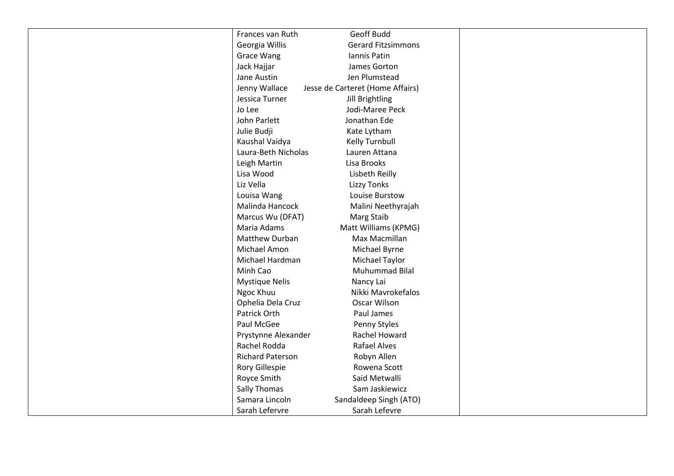| Frances van Ruth        | Geoff Budd                       |  |
|-------------------------|----------------------------------|--|
| Georgia Willis          | <b>Gerard Fitzsimmons</b>        |  |
| <b>Grace Wang</b>       | Iannis Patin                     |  |
| Jack Hajjar             | James Gorton                     |  |
| Jane Austin             | Jen Plumstead                    |  |
| Jenny Wallace           | Jesse de Carteret (Home Affairs) |  |
| Jessica Turner          | Jill Brightling                  |  |
| Jo Lee                  | Jodi-Maree Peck                  |  |
| John Parlett            | Jonathan Ede                     |  |
| Julie Budji             | Kate Lytham                      |  |
| Kaushal Vaidya          | Kelly Turnbull                   |  |
| Laura-Beth Nicholas     | Lauren Attana                    |  |
| Leigh Martin            | Lisa Brooks                      |  |
| Lisa Wood               | Lisbeth Reilly                   |  |
| Liz Vella               | Lizzy Tonks                      |  |
| Louisa Wang             | Louise Burstow                   |  |
| Malinda Hancock         | Malini Neethyrajah               |  |
| Marcus Wu (DFAT)        | Marg Staib                       |  |
| Maria Adams             | Matt Williams (KPMG)             |  |
| Matthew Durban          | Max Macmillan                    |  |
| Michael Amon            | Michael Byrne                    |  |
| Michael Hardman         | Michael Taylor                   |  |
| Minh Cao                | Muhummad Bilal                   |  |
| <b>Mystique Nelis</b>   | Nancy Lai                        |  |
| Ngoc Khuu               | Nikki Mavrokefalos               |  |
| Ophelia Dela Cruz       | Oscar Wilson                     |  |
| Patrick Orth            | Paul James                       |  |
| Paul McGee              | Penny Styles                     |  |
| Prystynne Alexander     | Rachel Howard                    |  |
| Rachel Rodda            | Rafael Alves                     |  |
| <b>Richard Paterson</b> | Robyn Allen                      |  |
| Rory Gillespie          | Rowena Scott                     |  |
| Royce Smith             | Said Metwalli                    |  |
| <b>Sally Thomas</b>     | Sam Jaskiewicz                   |  |
| Samara Lincoln          | Sandaldeep Singh (ATO)           |  |
| Sarah Lefervre          | Sarah Lefevre                    |  |
|                         |                                  |  |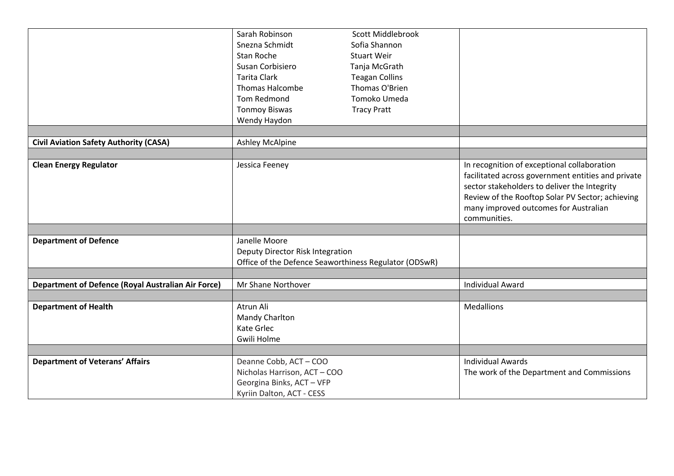|                                                           | Sarah Robinson<br>Snezna Schmidt<br>Stan Roche<br>Susan Corbisiero                                         | Scott Middlebrook<br>Sofia Shannon<br><b>Stuart Weir</b><br>Tanja McGrath |                                                                                                                                                                                                                                                                |
|-----------------------------------------------------------|------------------------------------------------------------------------------------------------------------|---------------------------------------------------------------------------|----------------------------------------------------------------------------------------------------------------------------------------------------------------------------------------------------------------------------------------------------------------|
|                                                           | <b>Tarita Clark</b><br><b>Thomas Halcombe</b>                                                              | <b>Teagan Collins</b><br>Thomas O'Brien                                   |                                                                                                                                                                                                                                                                |
|                                                           | Tom Redmond                                                                                                | Tomoko Umeda                                                              |                                                                                                                                                                                                                                                                |
|                                                           | <b>Tonmoy Biswas</b>                                                                                       | <b>Tracy Pratt</b>                                                        |                                                                                                                                                                                                                                                                |
|                                                           | Wendy Haydon                                                                                               |                                                                           |                                                                                                                                                                                                                                                                |
|                                                           |                                                                                                            |                                                                           |                                                                                                                                                                                                                                                                |
| <b>Civil Aviation Safety Authority (CASA)</b>             | <b>Ashley McAlpine</b>                                                                                     |                                                                           |                                                                                                                                                                                                                                                                |
|                                                           |                                                                                                            |                                                                           |                                                                                                                                                                                                                                                                |
| <b>Clean Energy Regulator</b>                             | Jessica Feeney                                                                                             |                                                                           | In recognition of exceptional collaboration<br>facilitated across government entities and private<br>sector stakeholders to deliver the Integrity<br>Review of the Rooftop Solar PV Sector; achieving<br>many improved outcomes for Australian<br>communities. |
|                                                           |                                                                                                            |                                                                           |                                                                                                                                                                                                                                                                |
| <b>Department of Defence</b>                              | Janelle Moore<br>Deputy Director Risk Integration<br>Office of the Defence Seaworthiness Regulator (ODSwR) |                                                                           |                                                                                                                                                                                                                                                                |
|                                                           |                                                                                                            |                                                                           |                                                                                                                                                                                                                                                                |
| <b>Department of Defence (Royal Australian Air Force)</b> | Mr Shane Northover                                                                                         |                                                                           | <b>Individual Award</b>                                                                                                                                                                                                                                        |
| <b>Department of Health</b>                               | Atrun Ali                                                                                                  |                                                                           | <b>Medallions</b>                                                                                                                                                                                                                                              |
|                                                           | Mandy Charlton                                                                                             |                                                                           |                                                                                                                                                                                                                                                                |
|                                                           | Kate Grlec                                                                                                 |                                                                           |                                                                                                                                                                                                                                                                |
|                                                           | Gwili Holme                                                                                                |                                                                           |                                                                                                                                                                                                                                                                |
|                                                           |                                                                                                            |                                                                           |                                                                                                                                                                                                                                                                |
| <b>Department of Veterans' Affairs</b>                    | Deanne Cobb, ACT-COO                                                                                       |                                                                           | <b>Individual Awards</b>                                                                                                                                                                                                                                       |
|                                                           | Nicholas Harrison, ACT-COO                                                                                 |                                                                           | The work of the Department and Commissions                                                                                                                                                                                                                     |
|                                                           | Georgina Binks, ACT-VFP                                                                                    |                                                                           |                                                                                                                                                                                                                                                                |
|                                                           | Kyriin Dalton, ACT - CESS                                                                                  |                                                                           |                                                                                                                                                                                                                                                                |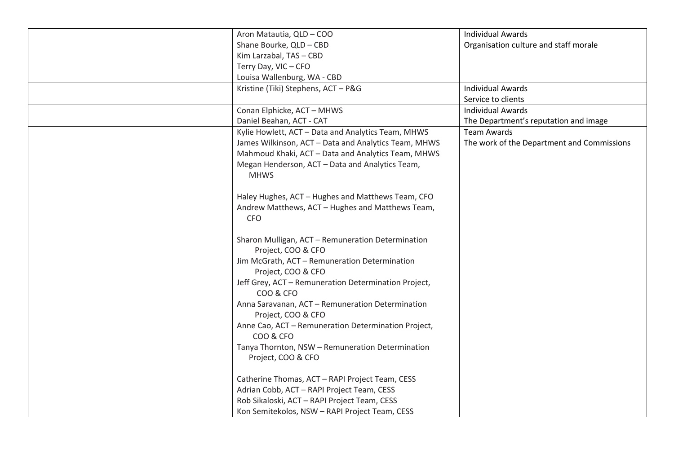| Aron Matautia, QLD - COO                             | <b>Individual Awards</b>                   |
|------------------------------------------------------|--------------------------------------------|
| Shane Bourke, QLD - CBD                              | Organisation culture and staff morale      |
| Kim Larzabal, TAS - CBD                              |                                            |
| Terry Day, VIC-CFO                                   |                                            |
| Louisa Wallenburg, WA - CBD                          |                                            |
| Kristine (Tiki) Stephens, ACT - P&G                  | <b>Individual Awards</b>                   |
|                                                      | Service to clients                         |
| Conan Elphicke, ACT - MHWS                           | <b>Individual Awards</b>                   |
| Daniel Beahan, ACT - CAT                             | The Department's reputation and image      |
| Kylie Howlett, ACT - Data and Analytics Team, MHWS   | <b>Team Awards</b>                         |
| James Wilkinson, ACT - Data and Analytics Team, MHWS | The work of the Department and Commissions |
| Mahmoud Khaki, ACT - Data and Analytics Team, MHWS   |                                            |
| Megan Henderson, ACT - Data and Analytics Team,      |                                            |
| <b>MHWS</b>                                          |                                            |
|                                                      |                                            |
| Haley Hughes, ACT - Hughes and Matthews Team, CFO    |                                            |
| Andrew Matthews, ACT - Hughes and Matthews Team,     |                                            |
| <b>CFO</b>                                           |                                            |
|                                                      |                                            |
| Sharon Mulligan, ACT - Remuneration Determination    |                                            |
| Project, COO & CFO                                   |                                            |
| Jim McGrath, ACT - Remuneration Determination        |                                            |
| Project, COO & CFO                                   |                                            |
| Jeff Grey, ACT - Remuneration Determination Project, |                                            |
| COO & CFO                                            |                                            |
| Anna Saravanan, ACT - Remuneration Determination     |                                            |
| Project, COO & CFO                                   |                                            |
| Anne Cao, ACT - Remuneration Determination Project,  |                                            |
| COO & CFO                                            |                                            |
| Tanya Thornton, NSW - Remuneration Determination     |                                            |
| Project, COO & CFO                                   |                                            |
|                                                      |                                            |
| Catherine Thomas, ACT - RAPI Project Team, CESS      |                                            |
|                                                      |                                            |
| Adrian Cobb, ACT - RAPI Project Team, CESS           |                                            |
| Rob Sikaloski, ACT - RAPI Project Team, CESS         |                                            |
| Kon Semitekolos, NSW - RAPI Project Team, CESS       |                                            |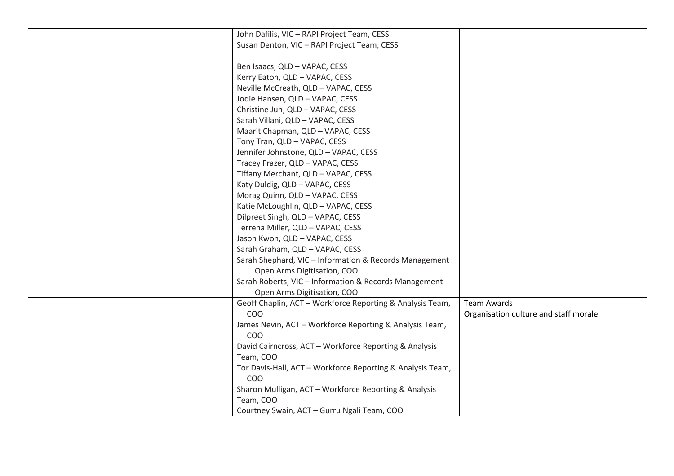| John Dafilis, VIC - RAPI Project Team, CESS                |                                       |
|------------------------------------------------------------|---------------------------------------|
| Susan Denton, VIC - RAPI Project Team, CESS                |                                       |
|                                                            |                                       |
| Ben Isaacs, QLD - VAPAC, CESS                              |                                       |
| Kerry Eaton, QLD - VAPAC, CESS                             |                                       |
| Neville McCreath, QLD - VAPAC, CESS                        |                                       |
| Jodie Hansen, QLD - VAPAC, CESS                            |                                       |
| Christine Jun, QLD - VAPAC, CESS                           |                                       |
| Sarah Villani, QLD - VAPAC, CESS                           |                                       |
| Maarit Chapman, QLD - VAPAC, CESS                          |                                       |
| Tony Tran, QLD - VAPAC, CESS                               |                                       |
| Jennifer Johnstone, QLD - VAPAC, CESS                      |                                       |
| Tracey Frazer, QLD - VAPAC, CESS                           |                                       |
| Tiffany Merchant, QLD - VAPAC, CESS                        |                                       |
| Katy Duldig, QLD - VAPAC, CESS                             |                                       |
| Morag Quinn, QLD - VAPAC, CESS                             |                                       |
| Katie McLoughlin, QLD - VAPAC, CESS                        |                                       |
| Dilpreet Singh, QLD - VAPAC, CESS                          |                                       |
| Terrena Miller, QLD - VAPAC, CESS                          |                                       |
| Jason Kwon, QLD - VAPAC, CESS                              |                                       |
| Sarah Graham, QLD - VAPAC, CESS                            |                                       |
| Sarah Shephard, VIC - Information & Records Management     |                                       |
| Open Arms Digitisation, COO                                |                                       |
| Sarah Roberts, VIC - Information & Records Management      |                                       |
| Open Arms Digitisation, COO                                |                                       |
| Geoff Chaplin, ACT - Workforce Reporting & Analysis Team,  | <b>Team Awards</b>                    |
| COO                                                        | Organisation culture and staff morale |
| James Nevin, ACT - Workforce Reporting & Analysis Team,    |                                       |
| COO                                                        |                                       |
| David Cairncross, ACT - Workforce Reporting & Analysis     |                                       |
| Team, COO                                                  |                                       |
| Tor Davis-Hall, ACT - Workforce Reporting & Analysis Team, |                                       |
| COO                                                        |                                       |
| Sharon Mulligan, ACT - Workforce Reporting & Analysis      |                                       |
| Team, COO                                                  |                                       |
| Courtney Swain, ACT - Gurru Ngali Team, COO                |                                       |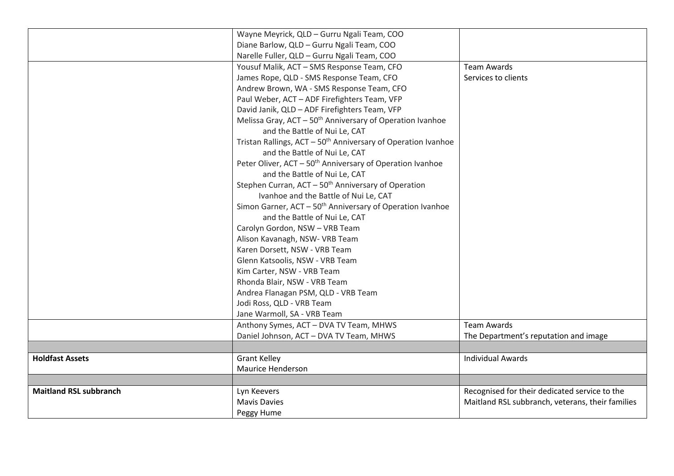|                               | Wayne Meyrick, QLD - Gurru Ngali Team, COO                                |                                                  |
|-------------------------------|---------------------------------------------------------------------------|--------------------------------------------------|
|                               | Diane Barlow, QLD - Gurru Ngali Team, COO                                 |                                                  |
|                               | Narelle Fuller, QLD - Gurru Ngali Team, COO                               |                                                  |
|                               | Yousuf Malik, ACT - SMS Response Team, CFO                                | <b>Team Awards</b>                               |
|                               | James Rope, QLD - SMS Response Team, CFO                                  | Services to clients                              |
|                               | Andrew Brown, WA - SMS Response Team, CFO                                 |                                                  |
|                               | Paul Weber, ACT - ADF Firefighters Team, VFP                              |                                                  |
|                               | David Janik, QLD - ADF Firefighters Team, VFP                             |                                                  |
|                               | Melissa Gray, ACT - 50 <sup>th</sup> Anniversary of Operation Ivanhoe     |                                                  |
|                               | and the Battle of Nui Le, CAT                                             |                                                  |
|                               | Tristan Rallings, ACT - 50 <sup>th</sup> Anniversary of Operation Ivanhoe |                                                  |
|                               | and the Battle of Nui Le, CAT                                             |                                                  |
|                               | Peter Oliver, ACT - 50 <sup>th</sup> Anniversary of Operation Ivanhoe     |                                                  |
|                               | and the Battle of Nui Le, CAT                                             |                                                  |
|                               | Stephen Curran, ACT - 50 <sup>th</sup> Anniversary of Operation           |                                                  |
|                               | Ivanhoe and the Battle of Nui Le, CAT                                     |                                                  |
|                               | Simon Garner, ACT - 50 <sup>th</sup> Anniversary of Operation Ivanhoe     |                                                  |
|                               | and the Battle of Nui Le, CAT                                             |                                                  |
|                               | Carolyn Gordon, NSW - VRB Team                                            |                                                  |
|                               | Alison Kavanagh, NSW- VRB Team                                            |                                                  |
|                               | Karen Dorsett, NSW - VRB Team                                             |                                                  |
|                               | Glenn Katsoolis, NSW - VRB Team                                           |                                                  |
|                               | Kim Carter, NSW - VRB Team                                                |                                                  |
|                               | Rhonda Blair, NSW - VRB Team                                              |                                                  |
|                               | Andrea Flanagan PSM, QLD - VRB Team                                       |                                                  |
|                               | Jodi Ross, QLD - VRB Team                                                 |                                                  |
|                               | Jane Warmoll, SA - VRB Team                                               |                                                  |
|                               | Anthony Symes, ACT - DVA TV Team, MHWS                                    | <b>Team Awards</b>                               |
|                               | Daniel Johnson, ACT - DVA TV Team, MHWS                                   | The Department's reputation and image            |
|                               |                                                                           |                                                  |
| <b>Holdfast Assets</b>        | <b>Grant Kelley</b>                                                       | <b>Individual Awards</b>                         |
|                               | <b>Maurice Henderson</b>                                                  |                                                  |
|                               |                                                                           |                                                  |
| <b>Maitland RSL subbranch</b> | Lyn Keevers                                                               | Recognised for their dedicated service to the    |
|                               | <b>Mavis Davies</b>                                                       | Maitland RSL subbranch, veterans, their families |
|                               | Peggy Hume                                                                |                                                  |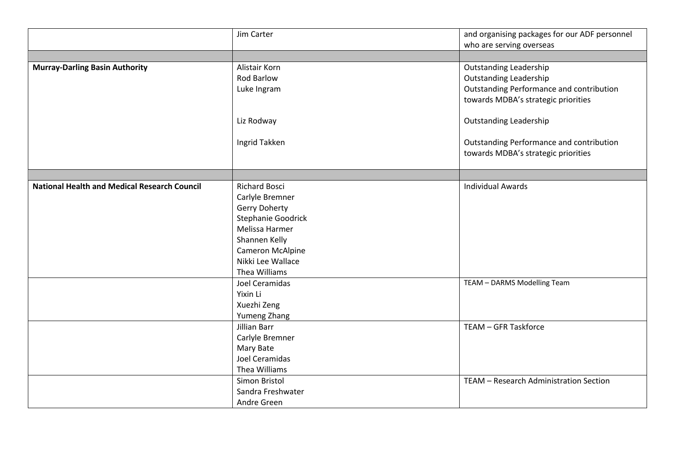|                                                     | Jim Carter           | and organising packages for our ADF personnel |
|-----------------------------------------------------|----------------------|-----------------------------------------------|
|                                                     |                      | who are serving overseas                      |
| <b>Murray-Darling Basin Authority</b>               | Alistair Korn        | <b>Outstanding Leadership</b>                 |
|                                                     | Rod Barlow           | <b>Outstanding Leadership</b>                 |
|                                                     | Luke Ingram          | Outstanding Performance and contribution      |
|                                                     |                      | towards MDBA's strategic priorities           |
|                                                     |                      |                                               |
|                                                     | Liz Rodway           | <b>Outstanding Leadership</b>                 |
|                                                     |                      |                                               |
|                                                     | Ingrid Takken        | Outstanding Performance and contribution      |
|                                                     |                      | towards MDBA's strategic priorities           |
|                                                     |                      |                                               |
|                                                     |                      |                                               |
| <b>National Health and Medical Research Council</b> | <b>Richard Bosci</b> | <b>Individual Awards</b>                      |
|                                                     | Carlyle Bremner      |                                               |
|                                                     | <b>Gerry Doherty</b> |                                               |
|                                                     | Stephanie Goodrick   |                                               |
|                                                     | Melissa Harmer       |                                               |
|                                                     | Shannen Kelly        |                                               |
|                                                     | Cameron McAlpine     |                                               |
|                                                     | Nikki Lee Wallace    |                                               |
|                                                     | Thea Williams        |                                               |
|                                                     | Joel Ceramidas       | TEAM - DARMS Modelling Team                   |
|                                                     | Yixin Li             |                                               |
|                                                     | Xuezhi Zeng          |                                               |
|                                                     | Yumeng Zhang         |                                               |
|                                                     | Jillian Barr         | TEAM - GFR Taskforce                          |
|                                                     | Carlyle Bremner      |                                               |
|                                                     | Mary Bate            |                                               |
|                                                     | Joel Ceramidas       |                                               |
|                                                     | Thea Williams        |                                               |
|                                                     | Simon Bristol        | TEAM - Research Administration Section        |
|                                                     | Sandra Freshwater    |                                               |
|                                                     | Andre Green          |                                               |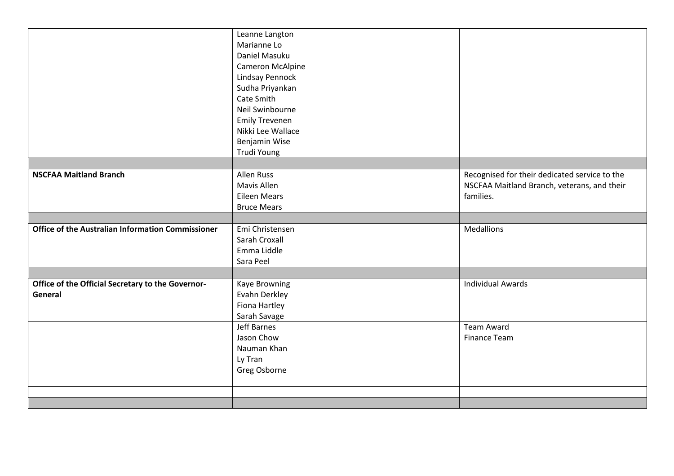|                                                              | Leanne Langton<br>Marianne Lo<br>Daniel Masuku<br>Cameron McAlpine<br><b>Lindsay Pennock</b><br>Sudha Priyankan<br>Cate Smith |                                                                                                           |
|--------------------------------------------------------------|-------------------------------------------------------------------------------------------------------------------------------|-----------------------------------------------------------------------------------------------------------|
|                                                              | Neil Swinbourne<br><b>Emily Trevenen</b>                                                                                      |                                                                                                           |
|                                                              | Nikki Lee Wallace                                                                                                             |                                                                                                           |
|                                                              | Benjamin Wise                                                                                                                 |                                                                                                           |
|                                                              | Trudi Young                                                                                                                   |                                                                                                           |
|                                                              |                                                                                                                               |                                                                                                           |
| <b>NSCFAA Maitland Branch</b>                                | Allen Russ<br>Mavis Allen<br><b>Eileen Mears</b><br><b>Bruce Mears</b>                                                        | Recognised for their dedicated service to the<br>NSCFAA Maitland Branch, veterans, and their<br>families. |
|                                                              |                                                                                                                               |                                                                                                           |
| <b>Office of the Australian Information Commissioner</b>     | Emi Christensen<br>Sarah Croxall<br>Emma Liddle<br>Sara Peel                                                                  | <b>Medallions</b>                                                                                         |
|                                                              |                                                                                                                               |                                                                                                           |
| Office of the Official Secretary to the Governor-<br>General | Kaye Browning<br>Evahn Derkley<br>Fiona Hartley<br>Sarah Savage                                                               | <b>Individual Awards</b>                                                                                  |
|                                                              | <b>Jeff Barnes</b><br>Jason Chow<br>Nauman Khan<br>Ly Tran<br>Greg Osborne                                                    | <b>Team Award</b><br><b>Finance Team</b>                                                                  |
|                                                              |                                                                                                                               |                                                                                                           |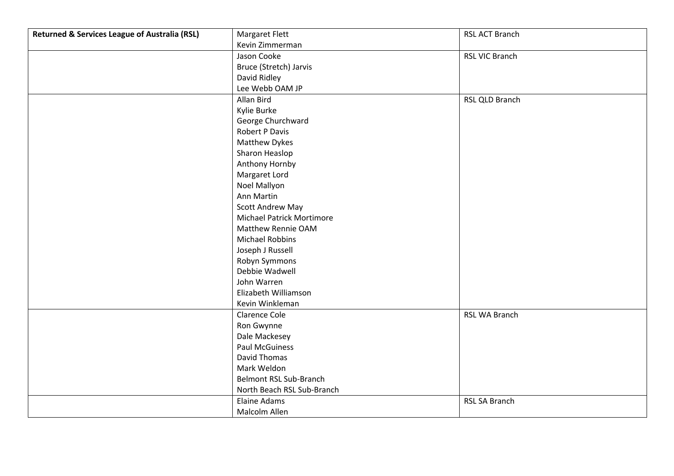| <b>Returned &amp; Services League of Australia (RSL)</b> | <b>Margaret Flett</b>            | RSL ACT Branch        |
|----------------------------------------------------------|----------------------------------|-----------------------|
|                                                          | Kevin Zimmerman                  |                       |
|                                                          | Jason Cooke                      | <b>RSL VIC Branch</b> |
|                                                          | Bruce (Stretch) Jarvis           |                       |
|                                                          | David Ridley                     |                       |
|                                                          | Lee Webb OAM JP                  |                       |
|                                                          | Allan Bird                       | RSL QLD Branch        |
|                                                          | Kylie Burke                      |                       |
|                                                          | George Churchward                |                       |
|                                                          | <b>Robert P Davis</b>            |                       |
|                                                          | <b>Matthew Dykes</b>             |                       |
|                                                          | Sharon Heaslop                   |                       |
|                                                          | Anthony Hornby                   |                       |
|                                                          | Margaret Lord                    |                       |
|                                                          | Noel Mallyon                     |                       |
|                                                          | Ann Martin                       |                       |
|                                                          | <b>Scott Andrew May</b>          |                       |
|                                                          | <b>Michael Patrick Mortimore</b> |                       |
|                                                          | Matthew Rennie OAM               |                       |
|                                                          | <b>Michael Robbins</b>           |                       |
|                                                          | Joseph J Russell                 |                       |
|                                                          | Robyn Symmons                    |                       |
|                                                          | Debbie Wadwell                   |                       |
|                                                          | John Warren                      |                       |
|                                                          | Elizabeth Williamson             |                       |
|                                                          | Kevin Winkleman                  |                       |
|                                                          | <b>Clarence Cole</b>             | RSL WA Branch         |
|                                                          | Ron Gwynne                       |                       |
|                                                          | Dale Mackesey                    |                       |
|                                                          | <b>Paul McGuiness</b>            |                       |
|                                                          | David Thomas                     |                       |
|                                                          | Mark Weldon                      |                       |
|                                                          | <b>Belmont RSL Sub-Branch</b>    |                       |
|                                                          | North Beach RSL Sub-Branch       |                       |
|                                                          | Elaine Adams                     | <b>RSL SA Branch</b>  |
|                                                          | Malcolm Allen                    |                       |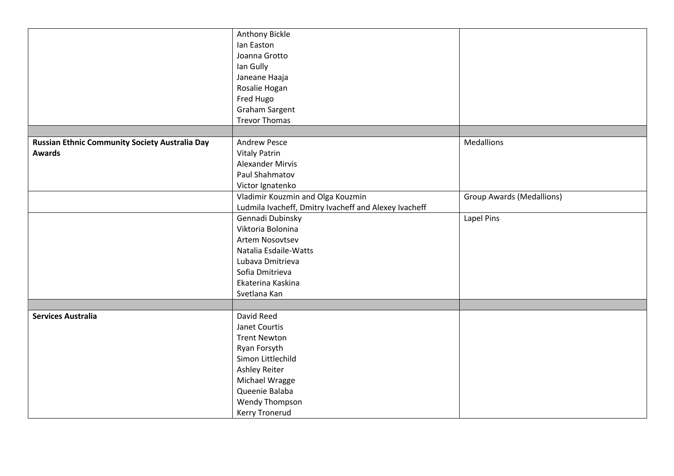|                                                | Anthony Bickle                                        |                                  |
|------------------------------------------------|-------------------------------------------------------|----------------------------------|
|                                                | lan Easton                                            |                                  |
|                                                | Joanna Grotto                                         |                                  |
|                                                | lan Gully                                             |                                  |
|                                                | Janeane Haaja                                         |                                  |
|                                                | Rosalie Hogan                                         |                                  |
|                                                | Fred Hugo                                             |                                  |
|                                                | <b>Graham Sargent</b>                                 |                                  |
|                                                | <b>Trevor Thomas</b>                                  |                                  |
|                                                |                                                       |                                  |
| Russian Ethnic Community Society Australia Day | <b>Andrew Pesce</b>                                   | <b>Medallions</b>                |
| <b>Awards</b>                                  | <b>Vitaly Patrin</b>                                  |                                  |
|                                                | <b>Alexander Mirvis</b>                               |                                  |
|                                                | Paul Shahmatov                                        |                                  |
|                                                | Victor Ignatenko                                      |                                  |
|                                                | Vladimir Kouzmin and Olga Kouzmin                     | <b>Group Awards (Medallions)</b> |
|                                                | Ludmila Ivacheff, Dmitry Ivacheff and Alexey Ivacheff |                                  |
|                                                | Gennadi Dubinsky                                      | Lapel Pins                       |
|                                                | Viktoria Bolonina                                     |                                  |
|                                                | Artem Nosovtsev                                       |                                  |
|                                                | Natalia Esdaile-Watts                                 |                                  |
|                                                | Lubava Dmitrieva                                      |                                  |
|                                                | Sofia Dmitrieva                                       |                                  |
|                                                | Ekaterina Kaskina                                     |                                  |
|                                                | Svetlana Kan                                          |                                  |
|                                                |                                                       |                                  |
| <b>Services Australia</b>                      | David Reed                                            |                                  |
|                                                | Janet Courtis                                         |                                  |
|                                                | <b>Trent Newton</b>                                   |                                  |
|                                                | Ryan Forsyth                                          |                                  |
|                                                | Simon Littlechild                                     |                                  |
|                                                | <b>Ashley Reiter</b>                                  |                                  |
|                                                | Michael Wragge                                        |                                  |
|                                                | Queenie Balaba                                        |                                  |
|                                                | <b>Wendy Thompson</b>                                 |                                  |
|                                                | Kerry Tronerud                                        |                                  |